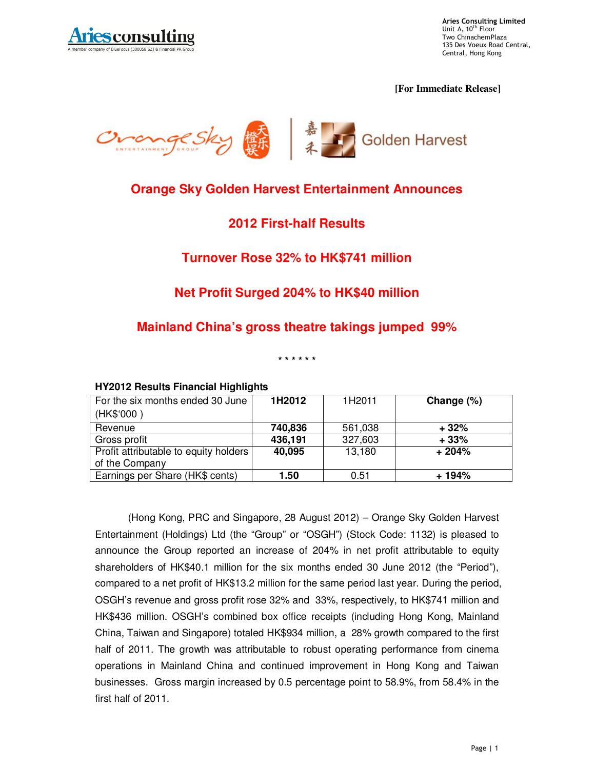

**Aries Consulting Limited**<br>Unit A, 10<sup>th</sup> Floor Two ChinachemPlaza 135 Des Voeux Road Central, Central, Hong Kong

 **[For Immediate Release]** 



## **Orange Sky Golden Harvest Entertainment Announces**

## **2012 First-half Results**

#### **Turnover Rose 32% to HK\$741 million**

## **Net Profit Surged 204% to HK\$40 million**

#### **Mainland China's gross theatre takings jumped 99%**

**\* \* \* \* \* \*** 

| For the six months ended 30 June      | 1H2012  | 1H2011  | Change (%) |
|---------------------------------------|---------|---------|------------|
| (HK\$'000)                            |         |         |            |
| Revenue                               | 740,836 | 561,038 | $+32%$     |
| Gross profit                          | 436,191 | 327,603 | $+33%$     |
| Profit attributable to equity holders | 40,095  | 13,180  | $+204%$    |
| of the Company                        |         |         |            |
| Earnings per Share (HK\$ cents)       | 1.50    | 0.51    | + 194%     |

#### **HY2012 Results Financial Highlights**

(Hong Kong, PRC and Singapore, 28 August 2012) – Orange Sky Golden Harvest Entertainment (Holdings) Ltd (the "Group" or "OSGH") (Stock Code: 1132) is pleased to announce the Group reported an increase of 204% in net profit attributable to equity shareholders of HK\$40.1 million for the six months ended 30 June 2012 (the "Period"), compared to a net profit of HK\$13.2 million for the same period last year. During the period, OSGH's revenue and gross profit rose 32% and 33%, respectively, to HK\$741 million and HK\$436 million. OSGH's combined box office receipts (including Hong Kong, Mainland China, Taiwan and Singapore) totaled HK\$934 million, a 28% growth compared to the first half of 2011. The growth was attributable to robust operating performance from cinema operations in Mainland China and continued improvement in Hong Kong and Taiwan businesses. Gross margin increased by 0.5 percentage point to 58.9%, from 58.4% in the first half of 2011.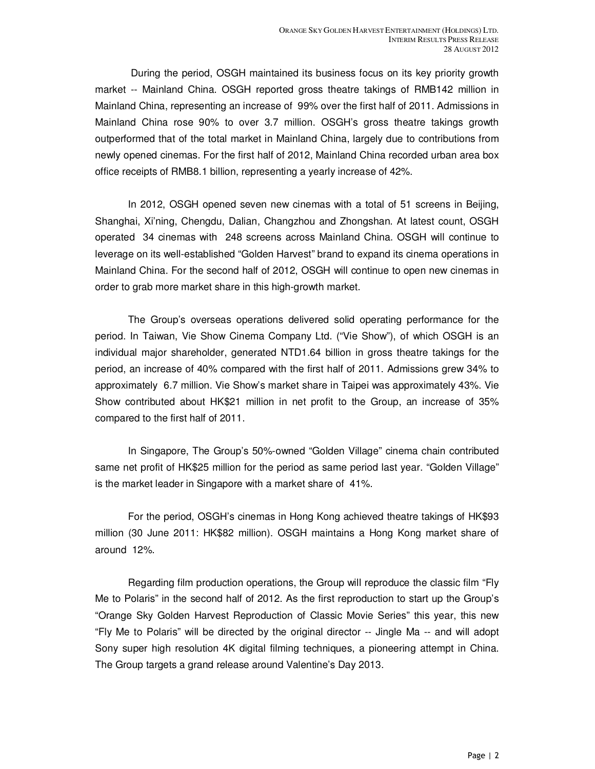During the period, OSGH maintained its business focus on its key priority growth market -- Mainland China. OSGH reported gross theatre takings of RMB142 million in Mainland China, representing an increase of 99% over the first half of 2011. Admissions in Mainland China rose 90% to over 3.7 million. OSGH's gross theatre takings growth outperformed that of the total market in Mainland China, largely due to contributions from newly opened cinemas. For the first half of 2012, Mainland China recorded urban area box office receipts of RMB8.1 billion, representing a yearly increase of 42%.

In 2012, OSGH opened seven new cinemas with a total of 51 screens in Beijing, Shanghai, Xi'ning, Chengdu, Dalian, Changzhou and Zhongshan. At latest count, OSGH operated 34 cinemas with 248 screens across Mainland China. OSGH will continue to leverage on its well-established "Golden Harvest" brand to expand its cinema operations in Mainland China. For the second half of 2012, OSGH will continue to open new cinemas in order to grab more market share in this high-growth market.

The Group's overseas operations delivered solid operating performance for the period. In Taiwan, Vie Show Cinema Company Ltd. ("Vie Show"), of which OSGH is an individual major shareholder, generated NTD1.64 billion in gross theatre takings for the period, an increase of 40% compared with the first half of 2011. Admissions grew 34% to approximately 6.7 million. Vie Show's market share in Taipei was approximately 43%. Vie Show contributed about HK\$21 million in net profit to the Group, an increase of 35% compared to the first half of 2011.

In Singapore, The Group's 50%-owned "Golden Village" cinema chain contributed same net profit of HK\$25 million for the period as same period last year. "Golden Village" is the market leader in Singapore with a market share of 41%.

For the period, OSGH's cinemas in Hong Kong achieved theatre takings of HK\$93 million (30 June 2011: HK\$82 million). OSGH maintains a Hong Kong market share of around 12%.

Regarding film production operations, the Group will reproduce the classic film "Fly Me to Polaris" in the second half of 2012. As the first reproduction to start up the Group's "Orange Sky Golden Harvest Reproduction of Classic Movie Series" this year, this new "Fly Me to Polaris" will be directed by the original director -- Jingle Ma -- and will adopt Sony super high resolution 4K digital filming techniques, a pioneering attempt in China. The Group targets a grand release around Valentine's Day 2013.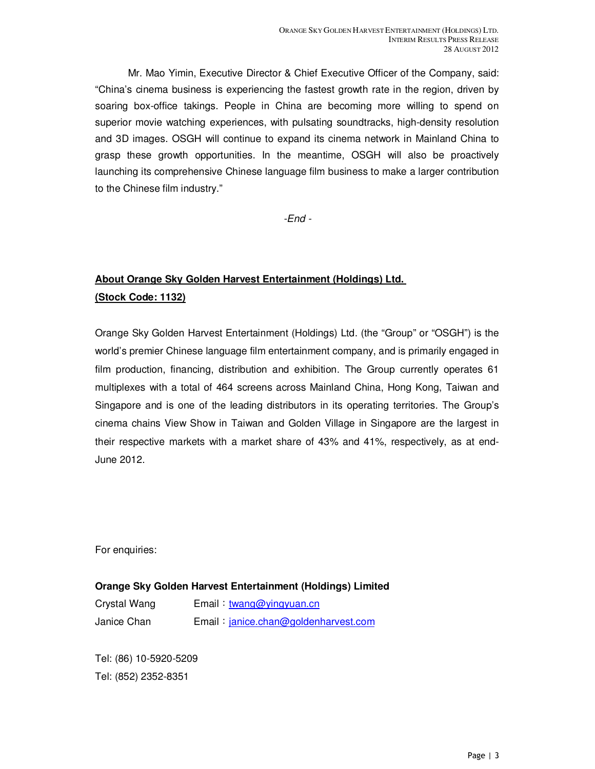Mr. Mao Yimin, Executive Director & Chief Executive Officer of the Company, said: "China's cinema business is experiencing the fastest growth rate in the region, driven by soaring box-office takings. People in China are becoming more willing to spend on superior movie watching experiences, with pulsating soundtracks, high-density resolution and 3D images. OSGH will continue to expand its cinema network in Mainland China to grasp these growth opportunities. In the meantime, OSGH will also be proactively launching its comprehensive Chinese language film business to make a larger contribution to the Chinese film industry."

-End -

# **About Orange Sky Golden Harvest Entertainment (Holdings) Ltd. (Stock Code: 1132)**

Orange Sky Golden Harvest Entertainment (Holdings) Ltd. (the "Group" or "OSGH") is the world's premier Chinese language film entertainment company, and is primarily engaged in film production, financing, distribution and exhibition. The Group currently operates 61 multiplexes with a total of 464 screens across Mainland China, Hong Kong, Taiwan and Singapore and is one of the leading distributors in its operating territories. The Group's cinema chains View Show in Taiwan and Golden Village in Singapore are the largest in their respective markets with a market share of 43% and 41%, respectively, as at end-June 2012.

For enquiries:

#### **Orange Sky Golden Harvest Entertainment (Holdings) Limited**

| Crystal Wang | Email: twang@yingyuan.cn             |
|--------------|--------------------------------------|
| Janice Chan  | Email: janice.chan@goldenharvest.com |

Tel: (86) 10-5920-5209 Tel: (852) 2352-8351